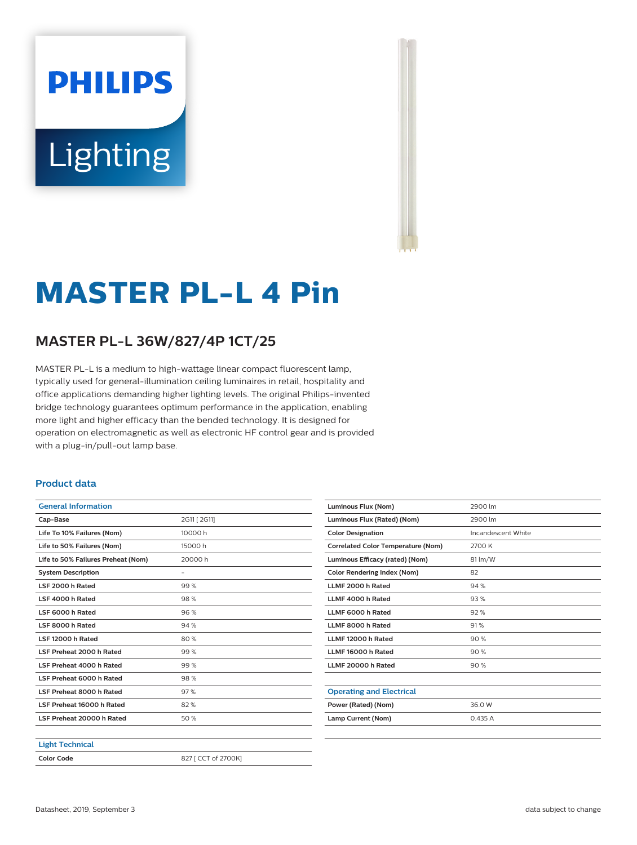# **PHILIPS** Lighting



# **MASTER PL-L 4 Pin**

# **MASTER PL-L 36W/827/4P 1CT/25**

MASTER PL-L is a medium to high-wattage linear compact fluorescent lamp, typically used for general-illumination ceiling luminaires in retail, hospitality and office applications demanding higher lighting levels. The original Philips-invented bridge technology guarantees optimum performance in the application, enabling more light and higher efficacy than the bended technology. It is designed for operation on electromagnetic as well as electronic HF control gear and is provided with a plug-in/pull-out lamp base.

### **Product data**

| <b>General Information</b>         |                     |  |  |
|------------------------------------|---------------------|--|--|
| Cap-Base                           | 2G11 [ 2G11]        |  |  |
| Life To 10% Failures (Nom)         | 10000 h             |  |  |
| Life to 50% Failures (Nom)         | 15000h              |  |  |
| Life to 50% Failures Preheat (Nom) | 20000h              |  |  |
| <b>System Description</b>          | $\qquad \qquad -$   |  |  |
| LSF 2000 h Rated                   | 99%                 |  |  |
| LSF 4000 h Rated                   | 98%                 |  |  |
| LSF 6000 h Rated                   | 96%                 |  |  |
| LSF 8000 h Rated                   | 94%                 |  |  |
| LSF 12000 h Rated                  | 80%                 |  |  |
| LSF Preheat 2000 h Rated           | 99%                 |  |  |
| LSF Preheat 4000 h Rated           | 99%                 |  |  |
| LSF Preheat 6000 h Rated           | 98%                 |  |  |
| LSF Preheat 8000 h Rated           | 97%                 |  |  |
| LSF Preheat 16000 h Rated          | 82%                 |  |  |
| LSF Preheat 20000 h Rated          | 50%                 |  |  |
|                                    |                     |  |  |
| <b>Light Technical</b>             |                     |  |  |
| <b>Color Code</b>                  | 827 [ CCT of 2700K] |  |  |

| Luminous Flux (Nom)                       | 2900 lm            |  |  |
|-------------------------------------------|--------------------|--|--|
| Luminous Flux (Rated) (Nom)               | 2900 lm            |  |  |
| <b>Color Designation</b>                  | Incandescent White |  |  |
| <b>Correlated Color Temperature (Nom)</b> | 2700 K             |  |  |
| Luminous Efficacy (rated) (Nom)           | 81 lm/W            |  |  |
| <b>Color Rendering Index (Nom)</b>        | 82                 |  |  |
| <b>IIMF 2000 h Rated</b>                  | 94%                |  |  |
| LLMF 4000 h Rated                         | 93%                |  |  |
| LLMF 6000 h Rated                         | 92%                |  |  |
| LLMF 8000 h Rated                         | 91%                |  |  |
| LLMF 12000 h Rated                        | 90%                |  |  |
| LLMF 16000 h Rated                        | 90%                |  |  |
| LLMF 20000 h Rated                        | 90%                |  |  |
|                                           |                    |  |  |
| <b>Operating and Electrical</b>           |                    |  |  |
| Power (Rated) (Nom)                       | 36.0 W             |  |  |
| Lamp Current (Nom)                        | 0.435A             |  |  |
|                                           |                    |  |  |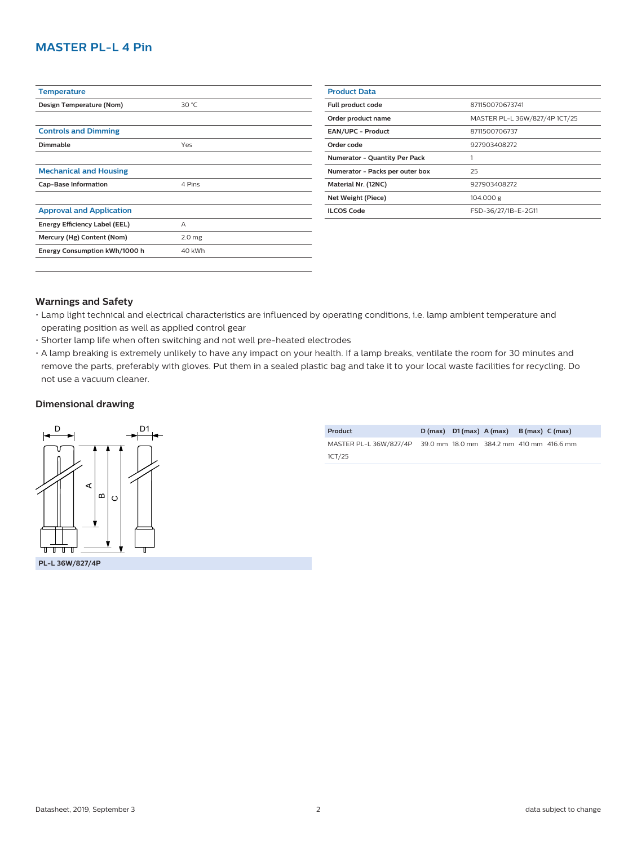## **MASTER PL-L 4 Pin**

| <b>Temperature</b>                   |                   |
|--------------------------------------|-------------------|
| Design Temperature (Nom)             | 30 °C             |
|                                      |                   |
| <b>Controls and Dimming</b>          |                   |
| Dimmable                             | Yes               |
|                                      |                   |
| <b>Mechanical and Housing</b>        |                   |
| <b>Cap-Base Information</b>          | 4 Pins            |
|                                      |                   |
| <b>Approval and Application</b>      |                   |
| <b>Energy Efficiency Label (EEL)</b> | Α                 |
| Mercury (Hg) Content (Nom)           | 2.0 <sub>mg</sub> |
| Energy Consumption kWh/1000 h        | 40 kWh            |
|                                      |                   |

| <b>Product Data</b>                  |                               |  |  |  |
|--------------------------------------|-------------------------------|--|--|--|
| Full product code                    | 871150070673741               |  |  |  |
| Order product name                   | MASTER PL-L 36W/827/4P 1CT/25 |  |  |  |
| <b>EAN/UPC - Product</b>             | 8711500706737                 |  |  |  |
| Order code                           | 927903408272                  |  |  |  |
| <b>Numerator - Quantity Per Pack</b> |                               |  |  |  |
| Numerator - Packs per outer box      | 25                            |  |  |  |
| Material Nr. (12NC)                  | 927903408272                  |  |  |  |
| Net Weight (Piece)                   | 104.000 g                     |  |  |  |
| <b>ILCOS Code</b>                    | FSD-36/27/1B-E-2G11           |  |  |  |
|                                      |                               |  |  |  |

#### **Warnings and Safety**

- Lamp light technical and electrical characteristics are influenced by operating conditions, i.e. lamp ambient temperature and operating position as well as applied control gear
- Shorter lamp life when often switching and not well pre-heated electrodes
- A lamp breaking is extremely unlikely to have any impact on your health. If a lamp breaks, ventilate the room for 30 minutes and remove the parts, preferably with gloves. Put them in a sealed plastic bag and take it to your local waste facilities for recycling. Do not use a vacuum cleaner.

#### **Dimensional drawing**



| Product                                                         |  | $D(max)$ $D1(max)$ $A(max)$ | B (max) C (max) |  |
|-----------------------------------------------------------------|--|-----------------------------|-----------------|--|
| MASTER PL-L 36W/827/4P 39.0 mm 18.0 mm 384.2 mm 410 mm 416.6 mm |  |                             |                 |  |
| 1CT/25                                                          |  |                             |                 |  |